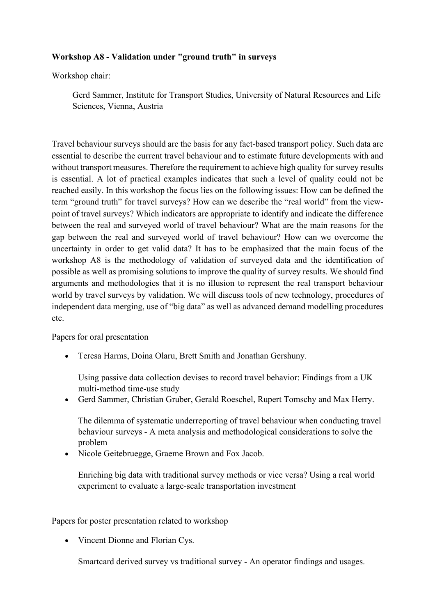## **Workshop A8 - Validation under "ground truth" in surveys**

Workshop chair:

Gerd Sammer, Institute for Transport Studies, University of Natural Resources and Life Sciences, Vienna, Austria

Travel behaviour surveys should are the basis for any fact-based transport policy. Such data are essential to describe the current travel behaviour and to estimate future developments with and without transport measures. Therefore the requirement to achieve high quality for survey results is essential. A lot of practical examples indicates that such a level of quality could not be reached easily. In this workshop the focus lies on the following issues: How can be defined the term "ground truth" for travel surveys? How can we describe the "real world" from the viewpoint of travel surveys? Which indicators are appropriate to identify and indicate the difference between the real and surveyed world of travel behaviour? What are the main reasons for the gap between the real and surveyed world of travel behaviour? How can we overcome the uncertainty in order to get valid data? It has to be emphasized that the main focus of the workshop A8 is the methodology of validation of surveyed data and the identification of possible as well as promising solutions to improve the quality of survey results. We should find arguments and methodologies that it is no illusion to represent the real transport behaviour world by travel surveys by validation. We will discuss tools of new technology, procedures of independent data merging, use of "big data" as well as advanced demand modelling procedures etc.

Papers for oral presentation

• Teresa Harms, Doina Olaru, Brett Smith and Jonathan Gershuny.

Using passive data collection devises to record travel behavior: Findings from a UK multi-method time-use study

• Gerd Sammer, Christian Gruber, Gerald Roeschel, Rupert Tomschy and Max Herry.

The dilemma of systematic underreporting of travel behaviour when conducting travel behaviour surveys - A meta analysis and methodological considerations to solve the problem

• Nicole Geitebruegge, Graeme Brown and Fox Jacob.

Enriching big data with traditional survey methods or vice versa? Using a real world experiment to evaluate a large-scale transportation investment

Papers for poster presentation related to workshop

• Vincent Dionne and Florian Cys.

Smartcard derived survey vs traditional survey - An operator findings and usages.